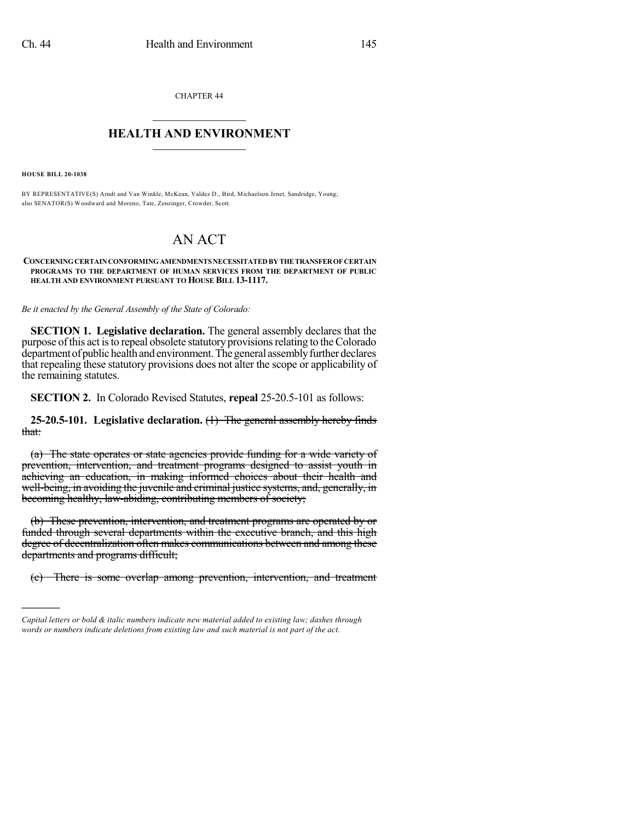CHAPTER 44

## $\mathcal{L}_\text{max}$  . The set of the set of the set of the set of the set of the set of the set of the set of the set of the set of the set of the set of the set of the set of the set of the set of the set of the set of the set **HEALTH AND ENVIRONMENT**  $\_$

**HOUSE BILL 20-1038**

)))))

BY REPRESENTATIVE(S) Arndt and Van Winkle, McKean, Valdez D., Bird, Michaelson Jenet, Sandridge, Young; also SENATOR(S) Woodward and Moreno, Tate, Zenzinger, Crowder, Scott.

## AN ACT

## **CONCERNINGCERTAINCONFORMINGAMENDMENTS NECESSITATEDBYTHETRANSFEROFCERTAIN PROGRAMS TO THE DEPARTMENT OF HUMAN SERVICES FROM THE DEPARTMENT OF PUBLIC HEALTH AND ENVIRONMENT PURSUANT TO HOUSE BILL 13-1117.**

*Be it enacted by the General Assembly of the State of Colorado:*

**SECTION 1. Legislative declaration.** The general assembly declares that the purpose of this act is to repeal obsolete statutory provisions relating to the Colorado department of public health and environment. The general assembly further declares that repealing these statutory provisions does not alter the scope or applicability of the remaining statutes.

**SECTION 2.** In Colorado Revised Statutes, **repeal** 25-20.5-101 as follows:

**25-20.5-101. Legislative declaration.** (1) The general assembly hereby finds that:

(a) The state operates or state agencies provide funding for a wide variety of prevention, intervention, and treatment programs designed to assist youth in achieving an education, in making informed choices about their health and well-being, in avoiding the juvenile and criminal justice systems, and, generally, in becoming healthy, law-abiding, contributing members of society;

(b) These prevention, intervention, and treatment programs are operated by or funded through several departments within the executive branch, and this high degree of decentralization often makes communications between and among these departments and programs difficult;

(c) There is some overlap among prevention, intervention, and treatment

*Capital letters or bold & italic numbers indicate new material added to existing law; dashes through words or numbers indicate deletions from existing law and such material is not part of the act.*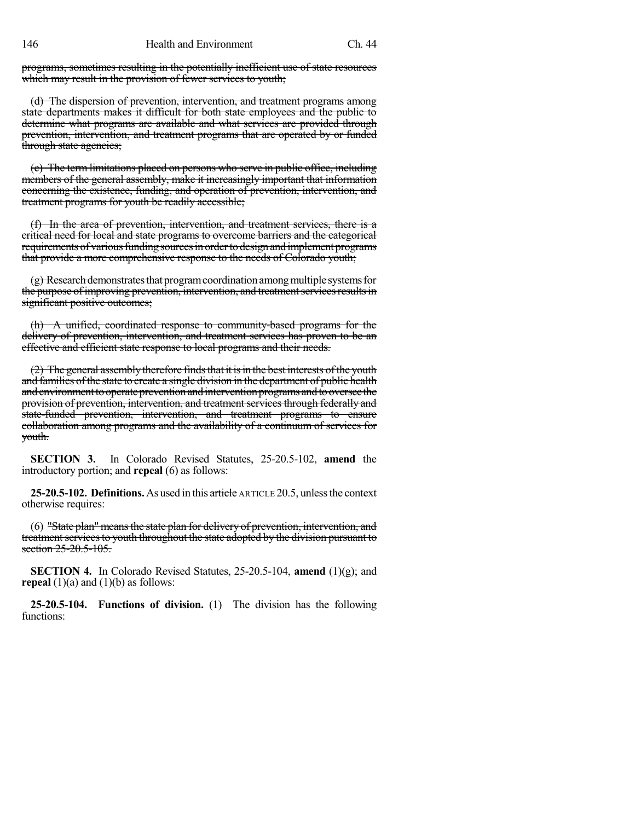programs, sometimes resulting in the potentially inefficient use of state resources which may result in the provision of fewer services to youth;

(d) The dispersion of prevention, intervention, and treatment programs among state departments makes it difficult for both state employees and the public to determine what programs are available and what services are provided through prevention, intervention, and treatment programs that are operated by or funded through state agencies;

(e) The term limitations placed on persons who serve in public office, including members of the general assembly, make it increasingly important that information concerning the existence, funding, and operation of prevention, intervention, and treatment programs for youth be readily accessible;

(f) In the area of prevention, intervention, and treatment services, there is a critical need for local and state programs to overcome barriers and the categorical requirements of various funding sources in order to design and implement programs that provide a more comprehensive response to the needs of Colorado youth;

 $(g)$  Research demonstrates that program coordination among multiple systems for the purpose of improving prevention, intervention, and treatment services results in significant positive outcomes;

(h) A unified, coordinated response to community-based programs for the delivery of prevention, intervention, and treatment services has proven to be an effective and efficient state response to local programs and their needs.

 $(2)$  The general assembly therefore finds that it is in the best interests of the youth and families of the state to create a single division in the department of public health and environment to operate prevention and intervention programs and to oversee the provision of prevention, intervention, and treatment services through federally and state-funded prevention, intervention, and treatment programs to ensure collaboration among programs and the availability of a continuum of services for youth.

**SECTION 3.** In Colorado Revised Statutes, 25-20.5-102, **amend** the introductory portion; and **repeal** (6) as follows:

**25-20.5-102. Definitions.**As used in this article ARTICLE 20.5, unlessthe context otherwise requires:

(6) "State plan" means the state plan for delivery of prevention, intervention, and treatment services to youth throughout the state adopted by the division pursuant to section 25-20.5-105.

**SECTION 4.** In Colorado Revised Statutes, 25-20.5-104, **amend** (1)(g); and **repeal**  $(1)(a)$  and  $(1)(b)$  as follows:

**25-20.5-104. Functions of division.** (1) The division has the following functions: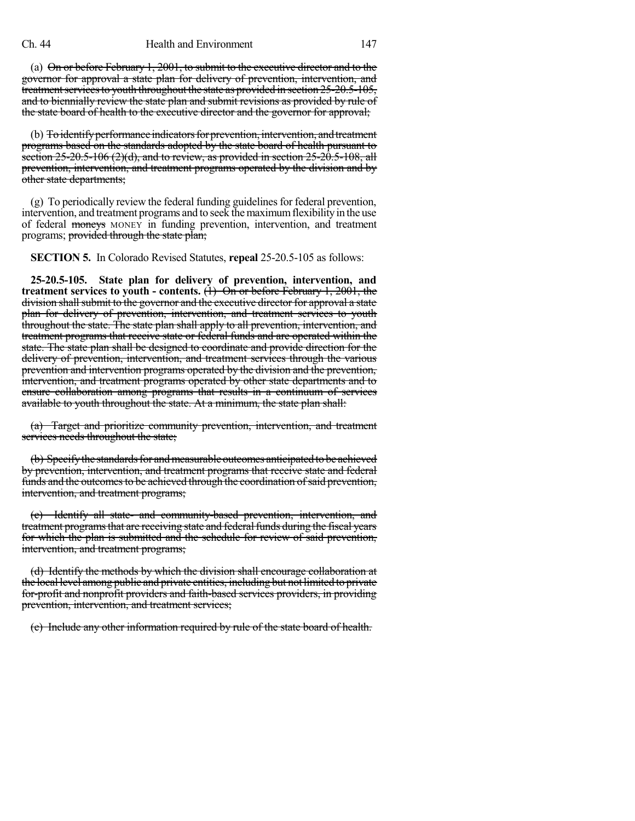(a) On or before February 1, 2001, to submit to the executive director and to the governor for approval a state plan for delivery of prevention, intervention, and treatment services to youth throughout the state as provided in section 25-20.5-105, and to biennially review the state plan and submit revisions as provided by rule of the state board of health to the executive director and the governor for approval;

(b) To identify performance indicators for prevention, intervention, and treatment programs based on the standards adopted by the state board of health pursuant to section 25-20.5-106 (2)(d), and to review, as provided in section 25-20.5-108, all prevention, intervention, and treatment programs operated by the division and by other state departments;

 $(g)$  To periodically review the federal funding guidelines for federal prevention, intervention, and treatment programs and to seek the maximum flexibility in the use of federal moneys MONEY in funding prevention, intervention, and treatment programs; provided through the state plan;

**SECTION 5.** In Colorado Revised Statutes, **repeal** 25-20.5-105 as follows:

**25-20.5-105. State plan for delivery of prevention, intervention, and treatment services to youth - contents.** (1) On or before February 1, 2001, the division shall submit to the governor and the executive director for approval a state plan for delivery of prevention, intervention, and treatment services to youth throughout the state. The state plan shall apply to all prevention, intervention, and treatment programs that receive state or federal funds and are operated within the state. The state plan shall be designed to coordinate and provide direction for the delivery of prevention, intervention, and treatment services through the various prevention and intervention programs operated by the division and the prevention, intervention, and treatment programs operated by other state departments and to ensure collaboration among programs that results in a continuum of services available to youth throughout the state. At a minimum, the state plan shall:

(a) Target and prioritize community prevention, intervention, and treatment services needs throughout the state;

(b) Specify the standards for and measurable outcomes anticipated to be achieved by prevention, intervention, and treatment programs that receive state and federal funds and the outcomes to be achieved through the coordination of said prevention, intervention, and treatment programs;

(c) Identify all state- and community-based prevention, intervention, and treatment programs that are receiving state and federal funds during the fiscal years for which the plan is submitted and the schedule for review of said prevention, intervention, and treatment programs;

(d) Identify the methods by which the division shall encourage collaboration at the local level among public and private entities, including but notlimited to private for-profit and nonprofit providers and faith-based services providers, in providing prevention, intervention, and treatment services;

(e) Include any other information required by rule of the state board of health.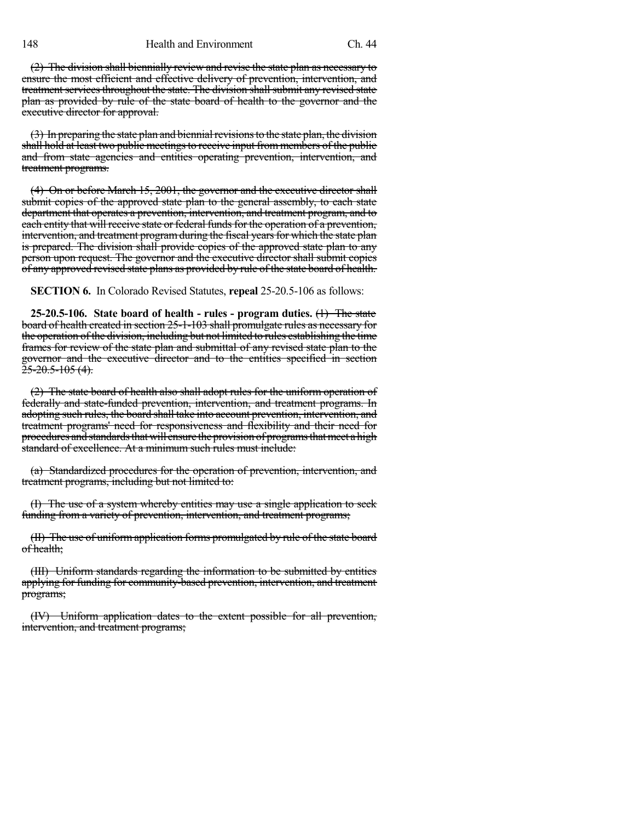148 Health and Environment Ch. 44

(2) The division shall biennially review and revise the state plan as necessary to ensure the most efficient and effective delivery of prevention, intervention, and treatment services throughout the state. The division shall submit any revised state plan as provided by rule of the state board of health to the governor and the executive director for approval.

(3) In preparing the state plan and biennial revisions to the state plan, the division shall hold at least two public meetings to receive input from members of the public and from state agencies and entities operating prevention, intervention, and treatment programs.

(4) On or before March 15, 2001, the governor and the executive director shall submit copies of the approved state plan to the general assembly, to each state department that operates a prevention, intervention, and treatment program, and to each entity that will receive state or federal funds for the operation of a prevention, intervention, and treatment program during the fiscal years for which the state plan is prepared. The division shall provide copies of the approved state plan to any person upon request. The governor and the executive director shall submit copies of any approved revised state plans as provided by rule of the state board of health.

**SECTION 6.** In Colorado Revised Statutes, **repeal** 25-20.5-106 as follows:

**25-20.5-106. State board of health - rules - program duties.** (1) The state board of health created in section 25-1-103 shall promulgate rules as necessary for the operation of the division, including but not limited to rules establishing the time frames for review of the state plan and submittal of any revised state plan to the governor and the executive director and to the entities specified in section  $\frac{25-20.5-105(4)}{25}$ 

(2) The state board of health also shall adopt rules for the uniform operation of federally and state-funded prevention, intervention, and treatment programs. In adopting such rules, the board shall take into account prevention, intervention, and treatment programs' need for responsiveness and flexibility and their need for procedures and standards that will ensure the provision of programs that meet a high standard of excellence. At a minimum such rules must include:

(a) Standardized procedures for the operation of prevention, intervention, and treatment programs, including but not limited to:

(I) The use of a system whereby entities may use a single application to seek funding from a variety of prevention, intervention, and treatment programs;

(II) The use of uniform application forms promulgated by rule of the state board of health;

(III) Uniform standards regarding the information to be submitted by entities applying for funding for community-based prevention, intervention, and treatment programs;

(IV) Uniform application dates to the extent possible for all prevention, intervention, and treatment programs;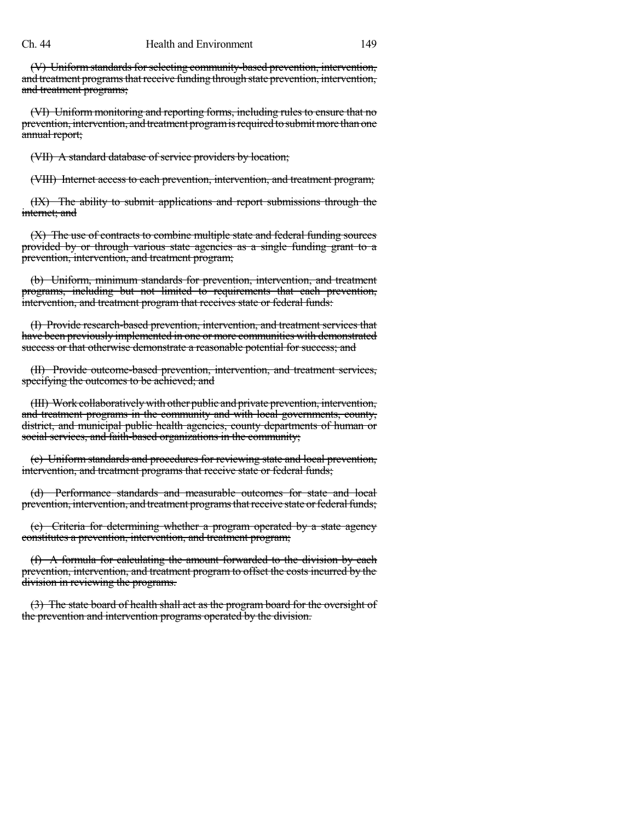## Ch. 44 Health and Environment 149

(V) Uniform standards for selecting community-based prevention, intervention, and treatment programs that receive funding through state prevention, intervention, and treatment programs;

(VI) Uniform monitoring and reporting forms, including rules to ensure that no prevention, intervention, and treatment program is required to submit more than one annual report;

(VII) A standard database of service providers by location;

(VIII) Internet access to each prevention, intervention, and treatment program;

(IX) The ability to submit applications and report submissions through the internet; and

(X) The use of contracts to combine multiple state and federal funding sources provided by or through various state agencies as a single funding grant to a prevention, intervention, and treatment program;

(b) Uniform, minimum standards for prevention, intervention, and treatment programs, including but not limited to requirements that each prevention, intervention, and treatment program that receives state or federal funds:

(I) Provide research-based prevention, intervention, and treatment services that have been previously implemented in one or more communities with demonstrated success or that otherwise demonstrate a reasonable potential for success; and

(II) Provide outcome-based prevention, intervention, and treatment services, specifying the outcomes to be achieved; and

(III) Work collaborativelywith other public and private prevention, intervention, and treatment programs in the community and with local governments, county, district, and municipal public health agencies, county departments of human or social services, and faith-based organizations in the community;

(c) Uniform standards and procedures for reviewing state and local prevention, intervention, and treatment programs that receive state or federal funds;

(d) Performance standards and measurable outcomes for state and local prevention, intervention, and treatment programs that receive state or federal funds;

(e) Criteria for determining whether a program operated by a state agency constitutes a prevention, intervention, and treatment program;

(f) A formula for calculating the amount forwarded to the division by each prevention, intervention, and treatment program to offset the costs incurred by the division in reviewing the programs.

(3) The state board of health shall act as the program board for the oversight of the prevention and intervention programs operated by the division.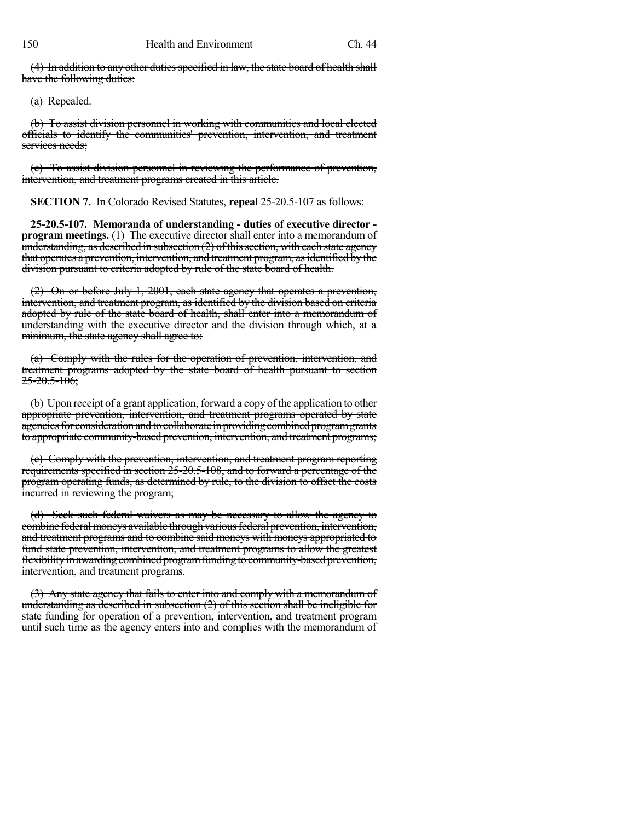$(4)$  In addition to any other duties specified in law, the state board of health shall have the following duties:

(a) Repealed.

(b) To assist division personnel in working with communities and local elected officials to identify the communities' prevention, intervention, and treatment services needs:

(c) To assist division personnel in reviewing the performance of prevention, intervention, and treatment programs created in this article.

**SECTION 7.** In Colorado Revised Statutes, **repeal** 25-20.5-107 as follows:

**25-20.5-107. Memoranda of understanding - duties of executive director program** meetings. (1) The executive director shall enter into a memorandum of understanding, as described in subsection  $(2)$  of this section, with each state agency that operates a prevention, intervention, and treatment program, as identified by the division pursuant to criteria adopted by rule of the state board of health.

(2) On or before July 1, 2001, each state agency that operates a prevention, intervention, and treatment program, as identified by the division based on criteria adopted by rule of the state board of health, shall enter into a memorandum of understanding with the executive director and the division through which, at a minimum, the state agency shall agree to:

(a) Comply with the rules for the operation of prevention, intervention, and treatment programs adopted by the state board of health pursuant to section  $25 - 20.5 - 106$ ;

(b) Upon receipt of a grant application, forward a copy of the application to other appropriate prevention, intervention, and treatment programs operated by state agencies for consideration and to collaborate in providing combined program grants to appropriate community-based prevention, intervention, and treatment programs;

(c) Comply with the prevention, intervention, and treatment program reporting requirements specified in section 25-20.5-108, and to forward a percentage of the program operating funds, as determined by rule, to the division to offset the costs incurred in reviewing the program;

(d) Seek such federal waivers as may be necessary to allow the agency to combine federal moneys available through various federal prevention, intervention, and treatment programs and to combine said moneys with moneys appropriated to fund state prevention, intervention, and treatment programs to allow the greatest flexibilityin awarding combined programfunding to community-based prevention, intervention, and treatment programs.

(3) Any state agency that fails to enter into and comply with a memorandum of understanding as described in subsection  $(2)$  of this section shall be ineligible for state funding for operation of a prevention, intervention, and treatment program until such time as the agency enters into and complies with the memorandum of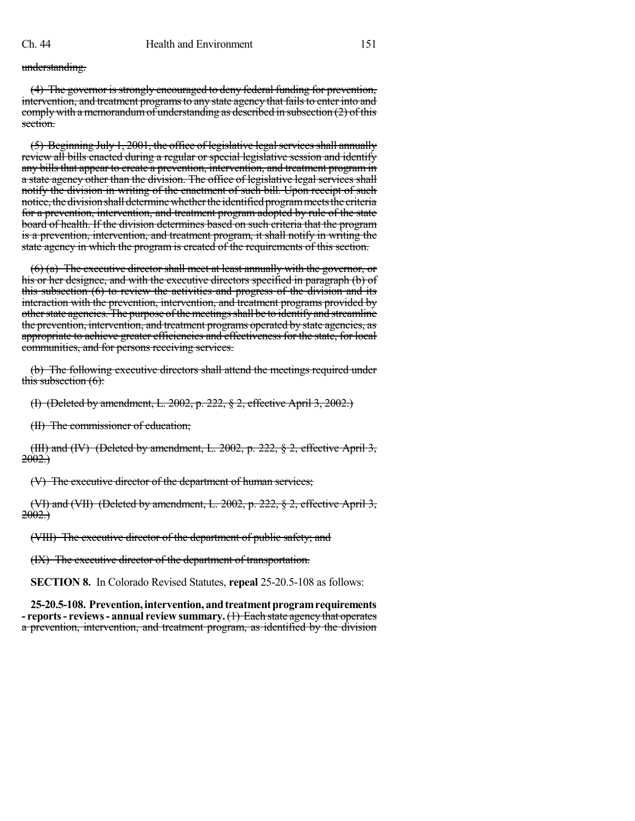understanding.

(4) The governor is strongly encouraged to deny federal funding for prevention, intervention, and treatment programs to any state agency that fails to enter into and comply with a memorandumof understanding as described in subsection (2) of this section.

 $(5)$  Beginning July 1, 2001, the office of legislative legal services shall annually review all bills enacted during a regular or special legislative session and identify any bills that appear to create a prevention, intervention, and treatment program in a state agency other than the division. The office of legislative legal services shall notify the division in writing of the enactment of such bill. Upon receipt of such notice, the division shall determine whether the identified program meets the criteria for a prevention, intervention, and treatment program adopted by rule of the state board of health. If the division determines based on such criteria that the program is a prevention, intervention, and treatment program, it shall notify in writing the state agency in which the program is created of the requirements of this section.

 $(6)$  (a) The executive director shall meet at least annually with the governor, or his or her designee, and with the executive directors specified in paragraph (b) of this subsection (6) to review the activities and progress of the division and its interaction with the prevention, intervention, and treatment programs provided by other state agencies. The purpose of the meetings shall be to identify and streamline the prevention, intervention, and treatment programs operated by state agencies, as appropriate to achieve greater efficiencies and effectiveness for the state, for local communities, and for persons receiving services.

(b) The following executive directors shall attend the meetings required under this subsection (6):

(I) (Deleted by amendment, L. 2002, p. 222, § 2, effective April 3, 2002.)

(II) The commissioner of education;

(III) and (IV) (Deleted by amendment, L. 2002, p. 222,  $\S$  2, effective April 3, 2002.)

(V) The executive director of the department of human services;

(VI) and (VII) (Deleted by amendment, L. 2002, p. 222, § 2, effective April 3,  $2002.$ 

(VIII) The executive director of the department of public safety; and

(IX) The executive director of the department of transportation.

**SECTION 8.** In Colorado Revised Statutes, **repeal** 25-20.5-108 as follows:

**25-20.5-108. Prevention,intervention, andtreatmentprogramrequirements - reports- reviews- annual review summary.**(1) Each state agency that operates a prevention, intervention, and treatment program, as identified by the division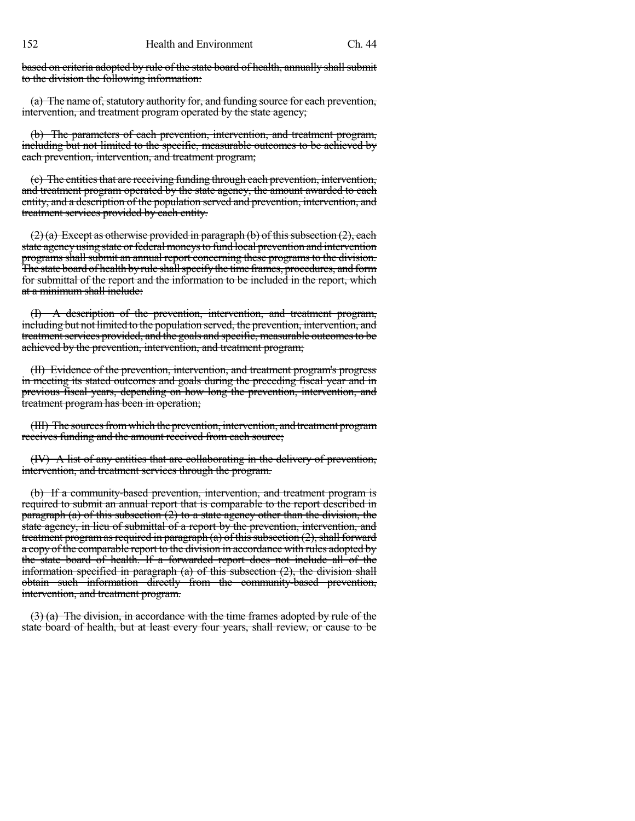based on criteria adopted by rule of the state board of health, annually shall submit to the division the following information:

(a) The name of, statutory authority for, and funding source for each prevention, intervention, and treatment program operated by the state agency;

(b) The parameters of each prevention, intervention, and treatment program, including but not limited to the specific, measurable outcomes to be achieved by each prevention, intervention, and treatment program;

(c) The entities that are receiving funding through each prevention, intervention, and treatment program operated by the state agency, the amount awarded to each entity, and a description of the population served and prevention, intervention, and treatment services provided by each entity.

 $(2)$ (a) Except as otherwise provided in paragraph (b) of this subsection (2), each state agency using state or federal moneys to fund local prevention and intervention programs shall submit an annual report concerning these programs to the division. The state board of health by rule shall specify the time frames, procedures, and form for submittal of the report and the information to be included in the report, which at a minimum shall include:

(I) A description of the prevention, intervention, and treatment program, including but not limited to the population served, the prevention, intervention, and treatment services provided, and the goals and specific, measurable outcomes to be achieved by the prevention, intervention, and treatment program;

(II) Evidence of the prevention, intervention, and treatment program's progress in meeting its stated outcomes and goals during the preceding fiscal year and in previous fiscal years, depending on how long the prevention, intervention, and treatment program has been in operation;

(III) The sources from which the prevention, intervention, and treatment program receives funding and the amount received from each source;

(IV) A list of any entities that are collaborating in the delivery of prevention, intervention, and treatment services through the program.

(b) If a community-based prevention, intervention, and treatment program is required to submit an annual report that is comparable to the report described in paragraph (a) of this subsection  $(2)$  to a state agency other than the division, the state agency, in lieu of submittal of a report by the prevention, intervention, and treatment program as required in paragraph (a) of this subsection  $(2)$ , shall forward a copy of the comparable report to the division in accordance with rules adopted by the state board of health. If a forwarded report does not include all of the information specified in paragraph  $(a)$  of this subsection  $(2)$ , the division shall obtain such information directly from the community-based prevention, intervention, and treatment program.

 $(3)$  (a) The division, in accordance with the time frames adopted by rule of the state board of health, but at least every four years, shall review, or cause to be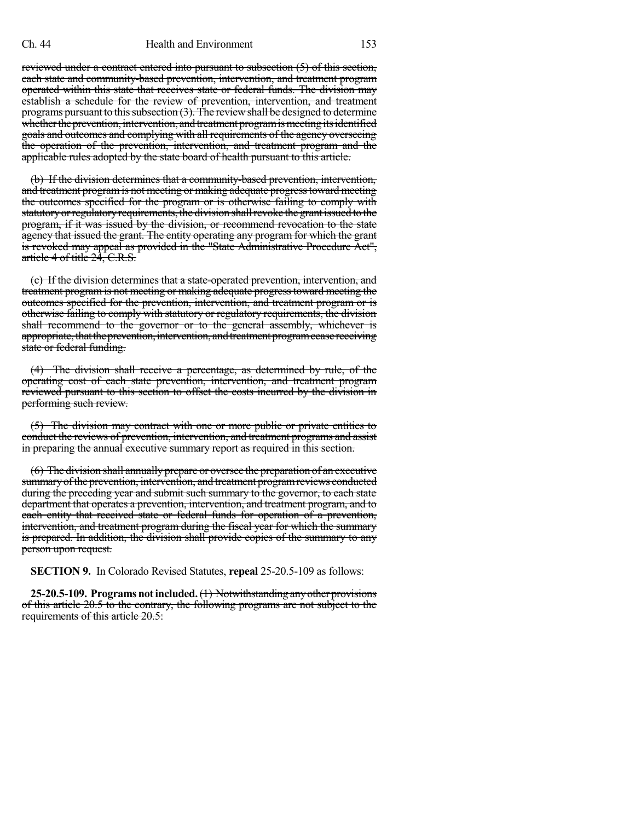reviewed under a contract entered into pursuant to subsection (5) of this section, each state and community-based prevention, intervention, and treatment program operated within this state that receives state or federal funds. The division may establish a schedule for the review of prevention, intervention, and treatment programs pursuant to this subsection  $(3)$ . The review shall be designed to determine whether the prevention, intervention, and treatment program is meeting its identified goals and outcomes and complying with all requirements of the agency overseeing the operation of the prevention, intervention, and treatment program and the applicable rules adopted by the state board of health pursuant to this article.

(b) If the division determines that a community-based prevention, intervention, and treatment programis not meeting or making adequate progresstoward meeting the outcomes specified for the program or is otherwise failing to comply with statutory or regulatory requirements, the division shall revoke the grant issued to the program, if it was issued by the division, or recommend revocation to the state agency that issued the grant. The entity operating any program for which the grant is revoked may appeal as provided in the "State Administrative Procedure Act", article 4 of title 24, C.R.S.

(c) If the division determines that a state-operated prevention, intervention, and treatment program is not meeting or making adequate progresstoward meeting the outcomes specified for the prevention, intervention, and treatment program or is otherwise failing to comply with statutory or regulatory requirements, the division shall recommend to the governor or to the general assembly, whichever is appropriate, that the prevention, intervention, and treatment program cease receiving state or federal funding.

(4) The division shall receive a percentage, as determined by rule, of the operating cost of each state prevention, intervention, and treatment program reviewed pursuant to this section to offset the costs incurred by the division in performing such review.

(5) The division may contract with one or more public or private entities to conduct the reviews of prevention, intervention, and treatment programs and assist in preparing the annual executive summary report as required in this section.

(6) The division shall annually prepare or oversee the preparation of an executive summary of the prevention, intervention, and treatment program reviews conducted during the preceding year and submit such summary to the governor, to each state department that operates a prevention, intervention, and treatment program, and to each entity that received state or federal funds for operation of a prevention, intervention, and treatment program during the fiscal year for which the summary is prepared. In addition, the division shall provide copies of the summary to any person upon request.

**SECTION 9.** In Colorado Revised Statutes, **repeal** 25-20.5-109 as follows:

25-20.5-109. Programs not included. (1) Notwithstanding any other provisions of this article 20.5 to the contrary, the following programs are not subject to the requirements of this article 20.5: